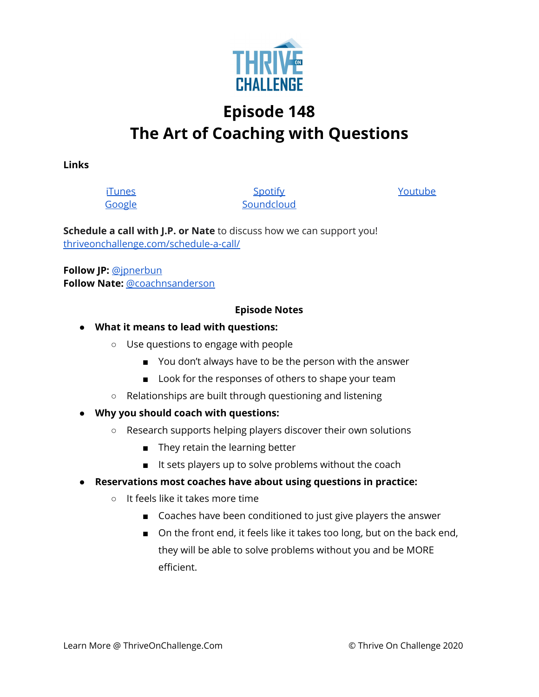

# **Episode 148 The Art of Coaching with Questions**

**Links**

[i](https://podcasts.apple.com/us/podcast/coaching-culture/id1286560192)[Tunes](https://podcasts.apple.com/us/podcast/coaching-culture/id1286560192) [Google](https://podcasts.google.com/feed/aHR0cHM6Ly9mZWVkcy5zb3VuZGNsb3VkLmNvbS91c2Vycy9zb3VuZGNsb3VkOnVzZXJzOjQxMDQyNzcvc291bmRzLnJzcw?ved=2ahUKEwiSpYquy9vqAhVbQUEAHSAkC88Q4aUDegQIARAC)

**[Spotify](https://open.spotify.com/show/336Hs8udk8s0yXuK3BzSOq) [Soundcloud](https://soundcloud.com/thriveonchallenge)**  [Youtube](https://www.youtube.com/channel/UC3vIljCBzwHcPyVIx9kiHvw)

**Schedule a call with J.P. or Nate** to discuss how we can support you! [thriveonchallenge.com/schedule-a-call/](http://thriveonchallenge.com/schedule-a-call/)

**Follow JP:** [@jpnerbun](http://twitter.com/jpnerbun) **Follow Nate:** [@coachnsanderson](http://twitter.com/coachnsanderson)

#### **Episode Notes**

- **● What it means to lead with questions:**
	- Use questions to engage with people
		- You don't always have to be the person with the answer
		- Look for the responses of others to shape your team
	- Relationships are built through questioning and listening
- **● Why you should coach with questions:**
	- Research supports helping players discover their own solutions
		- They retain the learning better
		- It sets players up to solve problems without the coach
- **● Reservations most coaches have about using questions in practice:**
	- It feels like it takes more time
		- Coaches have been conditioned to just give players the answer
		- On the front end, it feels like it takes too long, but on the back end, they will be able to solve problems without you and be MORE efficient.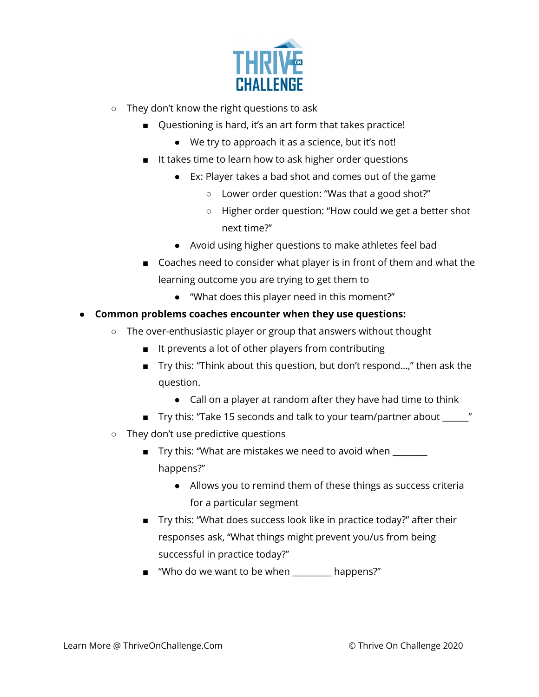

- They don't know the right questions to ask
	- Questioning is hard, it's an art form that takes practice!
		- We try to approach it as a science, but it's not!
	- It takes time to learn how to ask higher order questions
		- Ex: Player takes a bad shot and comes out of the game
			- Lower order question: "Was that a good shot?"
			- Higher order question: "How could we get a better shot next time?"
		- Avoid using higher questions to make athletes feel bad
	- Coaches need to consider what player is in front of them and what the learning outcome you are trying to get them to
		- "What does this player need in this moment?"
- **● Common problems coaches encounter when they use questions:**
	- The over-enthusiastic player or group that answers without thought
		- It prevents a lot of other players from contributing
		- Try this: "Think about this question, but don't respond...," then ask the question.
			- Call on a player at random after they have had time to think
		- Try this: "Take 15 seconds and talk to your team/partner about \_\_\_\_\_\_"
	- They don't use predictive questions
		- Try this: "What are mistakes we need to avoid when \_\_\_\_\_\_\_ happens?"
			- Allows you to remind them of these things as success criteria for a particular segment
		- Try this: "What does success look like in practice today?" after their responses ask, "What things might prevent you/us from being successful in practice today?"
		- "Who do we want to be when happens?"